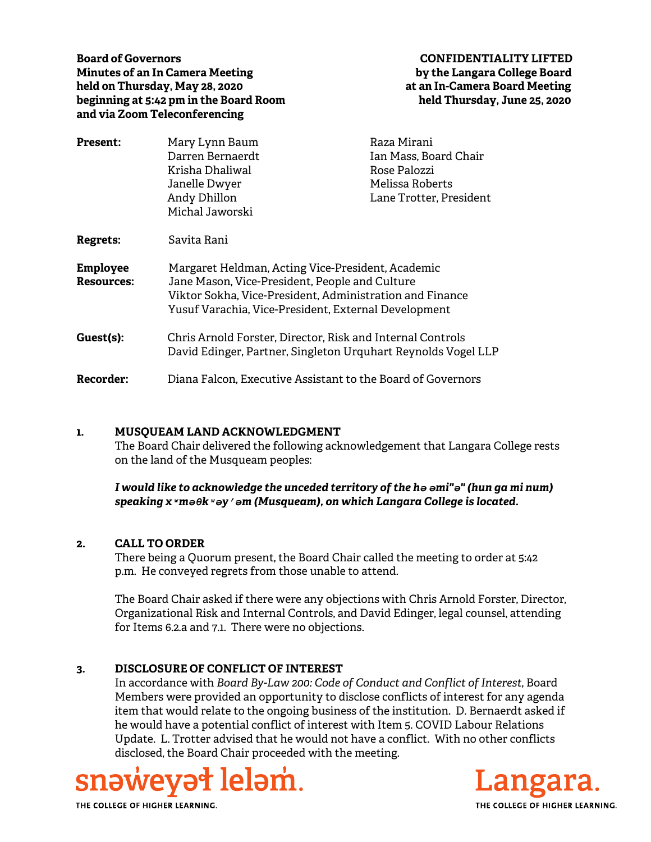**Board of Governors CONFIDENTIALITY LIFTED Minutes of an In Camera Meeting by the Langara College Board held on Thursday, May 28, 2020 at an In-Camera Board Meeting beginning at 5:42 pm in the Board Room held Thursday, June 25, 2020 and via Zoom Teleconferencing** 

| <b>Present:</b>                      | Mary Lynn Baum                                                                                                                                                                                                          | Raza Mirani                     |
|--------------------------------------|-------------------------------------------------------------------------------------------------------------------------------------------------------------------------------------------------------------------------|---------------------------------|
|                                      | Darren Bernaerdt                                                                                                                                                                                                        | Ian Mass, Board Chair           |
|                                      | Krisha Dhaliwal<br>Janelle Dwyer                                                                                                                                                                                        | Rose Palozzi<br>Melissa Roberts |
|                                      |                                                                                                                                                                                                                         |                                 |
|                                      | Michal Jaworski                                                                                                                                                                                                         |                                 |
| Regrets:                             | Savita Rani                                                                                                                                                                                                             |                                 |
| <b>Employee</b><br><b>Resources:</b> | Margaret Heldman, Acting Vice-President, Academic<br>Jane Mason, Vice-President, People and Culture<br>Viktor Sokha, Vice-President, Administration and Finance<br>Yusuf Varachia, Vice-President, External Development |                                 |
| Guest(s):                            | Chris Arnold Forster, Director, Risk and Internal Controls<br>David Edinger, Partner, Singleton Urquhart Reynolds Vogel LLP                                                                                             |                                 |
| <b>Recorder:</b>                     | Diana Falcon, Executive Assistant to the Board of Governors                                                                                                                                                             |                                 |

#### **1. MUSQUEAM LAND ACKNOWLEDGMENT**

The Board Chair delivered the following acknowledgement that Langara College rests on the land of the Musqueam peoples:

*I would like to acknowledge the unceded territory of the hә әmi"ә" (hun ga mi num) speaking xʷmәθkʷәy̓әm (Musqueam), on which Langara College is located.*

#### **2. CALL TO ORDER**

There being a Quorum present, the Board Chair called the meeting to order at 5:42 p.m. He conveyed regrets from those unable to attend.

The Board Chair asked if there were any objections with Chris Arnold Forster, Director, Organizational Risk and Internal Controls, and David Edinger, legal counsel, attending for Items 6.2.a and 7.1. There were no objections.

#### **3. DISCLOSURE OF CONFLICT OF INTEREST**

In accordance with *Board By-Law 200: Code of Conduct and Conflict of Interest*, Board Members were provided an opportunity to disclose conflicts of interest for any agenda item that would relate to the ongoing business of the institution. D. Bernaerdt asked if he would have a potential conflict of interest with Item 5. COVID Labour Relations Update. L. Trotter advised that he would not have a conflict. With no other conflicts disclosed, the Board Chair proceeded with the meeting.





THE COLLEGE OF HIGHER LEARNING.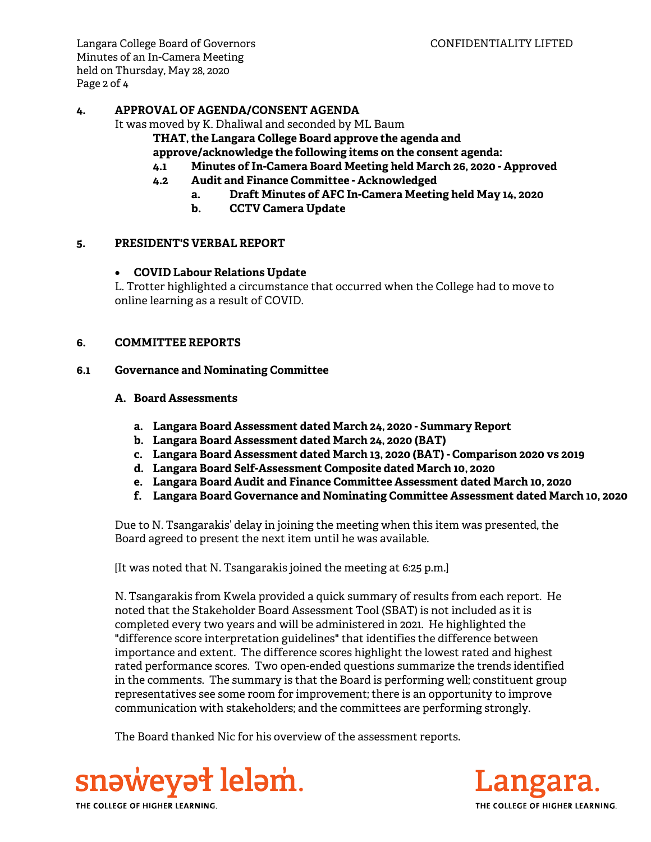Langara College Board of Governors CONFIDENTIALITY LIFTED Minutes of an In-Camera Meeting held on Thursday, May 28, 2020 Page 2 of 4

### **4. APPROVAL OF AGENDA/CONSENT AGENDA**

It was moved by K. Dhaliwal and seconded by ML Baum

**THAT, the Langara College Board approve the agenda and** 

**approve/acknowledge the following items on the consent agenda:**

- **4.1 Minutes of In-Camera Board Meeting held March 26, 2020 Approved**
- **4.2 Audit and Finance Committee Acknowledged** 
	- **a. Draft Minutes of AFC In-Camera Meeting held May 14, 2020**
	- **b. CCTV Camera Update**

### **5. PRESIDENT'S VERBAL REPORT**

### **COVID Labour Relations Update**

L. Trotter highlighted a circumstance that occurred when the College had to move to online learning as a result of COVID.

### **6. COMMITTEE REPORTS**

### **6.1 Governance and Nominating Committee**

- **A. Board Assessments** 
	- **a. Langara Board Assessment dated March 24, 2020 Summary Report**
	- **b. Langara Board Assessment dated March 24, 2020 (BAT)**
	- **c. Langara Board Assessment dated March 13, 2020 (BAT) Comparison 2020 vs 2019**
	- **d. Langara Board Self-Assessment Composite dated March 10, 2020**
	- **e. Langara Board Audit and Finance Committee Assessment dated March 10, 2020**
	- **f. Langara Board Governance and Nominating Committee Assessment dated March 10, 2020**

Due to N. Tsangarakis' delay in joining the meeting when this item was presented, the Board agreed to present the next item until he was available.

[It was noted that N. Tsangarakis joined the meeting at 6:25 p.m.]

N. Tsangarakis from Kwela provided a quick summary of results from each report. He noted that the Stakeholder Board Assessment Tool (SBAT) is not included as it is completed every two years and will be administered in 2021. He highlighted the "difference score interpretation guidelines" that identifies the difference between importance and extent. The difference scores highlight the lowest rated and highest rated performance scores. Two open-ended questions summarize the trends identified in the comments. The summary is that the Board is performing well; constituent group representatives see some room for improvement; there is an opportunity to improve communication with stakeholders; and the committees are performing strongly.

The Board thanked Nic for his overview of the assessment reports.



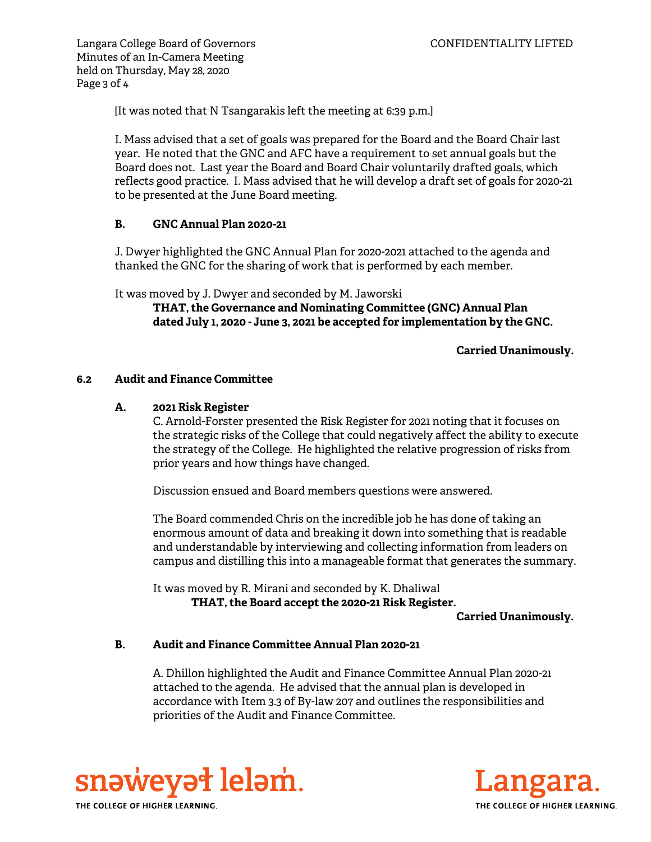Langara College Board of Governors **CONFIDENTIALITY LIFTED** Minutes of an In-Camera Meeting held on Thursday, May 28, 2020 Page 3 of 4

[It was noted that N Tsangarakis left the meeting at 6:39 p.m.]

I. Mass advised that a set of goals was prepared for the Board and the Board Chair last year. He noted that the GNC and AFC have a requirement to set annual goals but the Board does not. Last year the Board and Board Chair voluntarily drafted goals, which reflects good practice. I. Mass advised that he will develop a draft set of goals for 2020-21 to be presented at the June Board meeting.

# **B. GNC Annual Plan 2020-21**

J. Dwyer highlighted the GNC Annual Plan for 2020-2021 attached to the agenda and thanked the GNC for the sharing of work that is performed by each member.

It was moved by J. Dwyer and seconded by M. Jaworski

**THAT, the Governance and Nominating Committee (GNC) Annual Plan dated July 1, 2020 - June 3, 2021 be accepted for implementation by the GNC.** 

**Carried Unanimously.** 

### **6.2 Audit and Finance Committee**

### **A. 2021 Risk Register**

C. Arnold-Forster presented the Risk Register for 2021 noting that it focuses on the strategic risks of the College that could negatively affect the ability to execute the strategy of the College. He highlighted the relative progression of risks from prior years and how things have changed.

Discussion ensued and Board members questions were answered.

The Board commended Chris on the incredible job he has done of taking an enormous amount of data and breaking it down into something that is readable and understandable by interviewing and collecting information from leaders on campus and distilling this into a manageable format that generates the summary.

 It was moved by R. Mirani and seconded by K. Dhaliwal **THAT, the Board accept the 2020-21 Risk Register.**

**Carried Unanimously.**

# **B. Audit and Finance Committee Annual Plan 2020-21**

A. Dhillon highlighted the Audit and Finance Committee Annual Plan 2020-21 attached to the agenda. He advised that the annual plan is developed in accordance with Item 3.3 of By-law 207 and outlines the responsibilities and priorities of the Audit and Finance Committee.